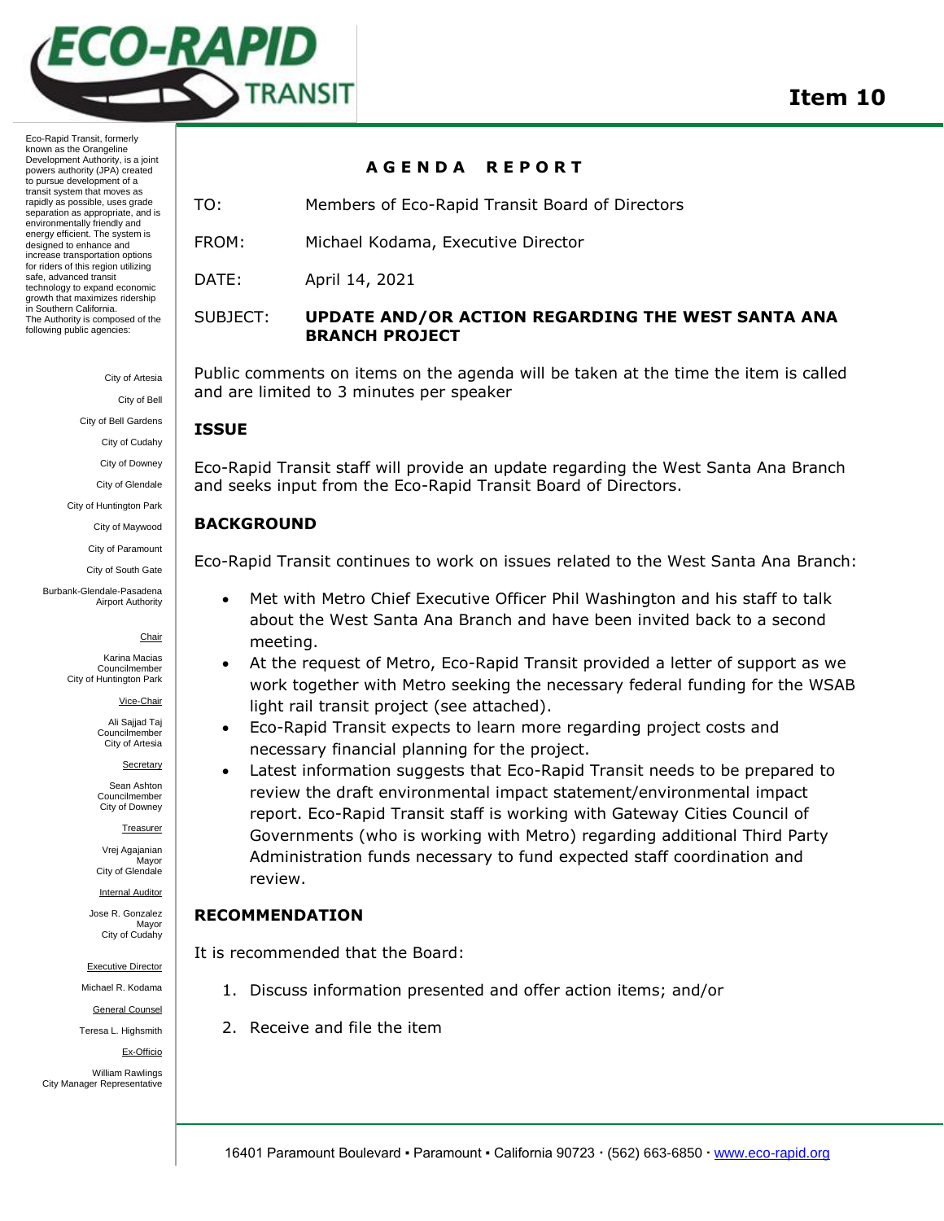

Eco-Rapid Transit, formerly known as the Orangeline Development Authority, is a joint powers authority (JPA) created to pursue development of a transit system that moves as rapidly as possible, uses grade separation as appropriate, and is environmentally friendly and energy efficient. The system is designed to enhance and increase transportation options for riders of this region utilizing safe, advanced transit technology to expand economic growth that maximizes ridership in Southern California. The Authority is composed of the following public agencies:

City of Artesia

City of Bell

City of Bell Gardens

City of Cudahy

City of Downey

City of Glendale

City of Huntington Park City of Maywood

City of Paramount

City of South Gate

Burbank-Glendale-Pasadena Airport Authority

#### Chair

Karina Macias Councilmember City of Huntington Park

Vice-Chair

Ali Sajjad Taj Councilmember City of Artesia

Secretary

Sean Ashton Councilmember City of Downey

Treasurer

Vrej Agajanian **Mavor** City of Glendale

Internal Auditor

Jose R. Gonzalez Mayor City of Cudahy

Executive Director

Michael R. Kodama

General Counsel

Teresa L. Highsmith

Ex-Officio

William Rawlings City Manager Representative

#### **A G E N D A R E P O R T**

TO: Members of Eco-Rapid Transit Board of Directors

FROM: Michael Kodama, Executive Director

DATE: April 14, 2021

#### SUBJECT: **UPDATE AND/OR ACTION REGARDING THE WEST SANTA ANA BRANCH PROJECT**

Public comments on items on the agenda will be taken at the time the item is called and are limited to 3 minutes per speaker

# **ISSUE**

Eco-Rapid Transit staff will provide an update regarding the West Santa Ana Branch and seeks input from the Eco-Rapid Transit Board of Directors.

# **BACKGROUND**

Eco-Rapid Transit continues to work on issues related to the West Santa Ana Branch:

- Met with Metro Chief Executive Officer Phil Washington and his staff to talk about the West Santa Ana Branch and have been invited back to a second meeting.
- At the request of Metro, Eco-Rapid Transit provided a letter of support as we work together with Metro seeking the necessary federal funding for the WSAB light rail transit project (see attached).
- Eco-Rapid Transit expects to learn more regarding project costs and necessary financial planning for the project.
- Latest information suggests that Eco-Rapid Transit needs to be prepared to review the draft environmental impact statement/environmental impact report. Eco-Rapid Transit staff is working with Gateway Cities Council of Governments (who is working with Metro) regarding additional Third Party Administration funds necessary to fund expected staff coordination and review.

# **RECOMMENDATION**

It is recommended that the Board:

- 1. Discuss information presented and offer action items; and/or
- 2. Receive and file the item